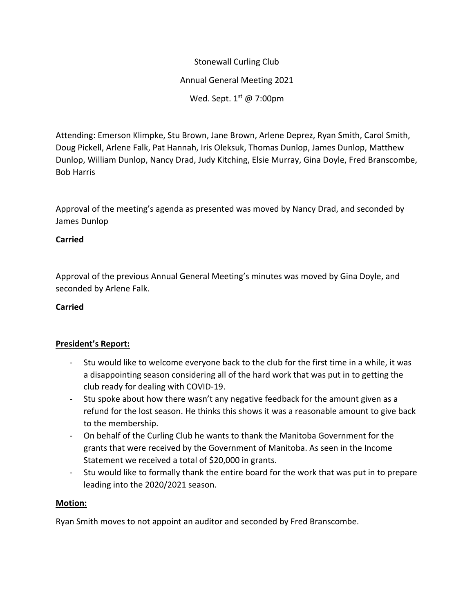Stonewall Curling Club Annual General Meeting 2021 Wed. Sept.  $1<sup>st</sup>$  @ 7:00pm

Attending: Emerson Klimpke, Stu Brown, Jane Brown, Arlene Deprez, Ryan Smith, Carol Smith, Doug Pickell, Arlene Falk, Pat Hannah, Iris Oleksuk, Thomas Dunlop, James Dunlop, Matthew Dunlop, William Dunlop, Nancy Drad, Judy Kitching, Elsie Murray, Gina Doyle, Fred Branscombe, Bob Harris

Approval of the meeting's agenda as presented was moved by Nancy Drad, and seconded by James Dunlop

# **Carried**

Approval of the previous Annual General Meeting's minutes was moved by Gina Doyle, and seconded by Arlene Falk.

# **Carried**

# **President's Report:**

- Stu would like to welcome everyone back to the club for the first time in a while, it was a disappointing season considering all of the hard work that was put in to getting the club ready for dealing with COVID-19.
- Stu spoke about how there wasn't any negative feedback for the amount given as a refund for the lost season. He thinks this shows it was a reasonable amount to give back to the membership.
- On behalf of the Curling Club he wants to thank the Manitoba Government for the grants that were received by the Government of Manitoba. As seen in the Income Statement we received a total of \$20,000 in grants.
- Stu would like to formally thank the entire board for the work that was put in to prepare leading into the 2020/2021 season.

# **Motion:**

Ryan Smith moves to not appoint an auditor and seconded by Fred Branscombe.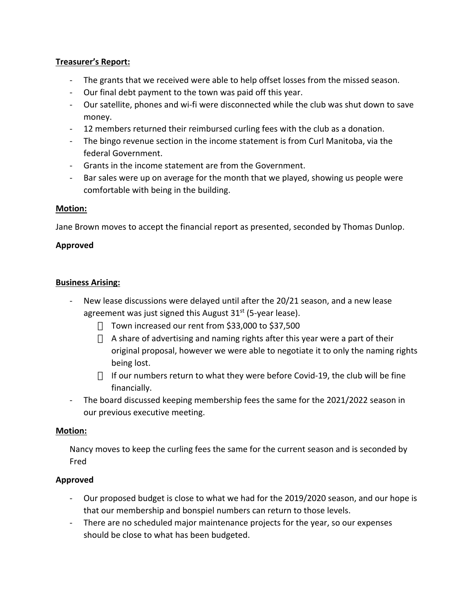## **Treasurer's Report:**

- The grants that we received were able to help offset losses from the missed season.
- Our final debt payment to the town was paid off this year.
- Our satellite, phones and wi-fi were disconnected while the club was shut down to save money.
- 12 members returned their reimbursed curling fees with the club as a donation.
- The bingo revenue section in the income statement is from Curl Manitoba, via the federal Government.
- Grants in the income statement are from the Government.
- Bar sales were up on average for the month that we played, showing us people were comfortable with being in the building.

### **Motion:**

Jane Brown moves to accept the financial report as presented, seconded by Thomas Dunlop.

## **Approved**

### **Business Arising:**

- New lease discussions were delayed until after the 20/21 season, and a new lease agreement was just signed this August  $31<sup>st</sup>$  (5-year lease).
	- Town increased our rent from \$33,000 to \$37,500
	- A share of advertising and naming rights after this year were a part of their original proposal, however we were able to negotiate it to only the naming rights being lost.
	- If our numbers return to what they were before Covid-19, the club will be fine financially.
- The board discussed keeping membership fees the same for the 2021/2022 season in our previous executive meeting.

### **Motion:**

Nancy moves to keep the curling fees the same for the current season and is seconded by Fred

# **Approved**

- Our proposed budget is close to what we had for the 2019/2020 season, and our hope is that our membership and bonspiel numbers can return to those levels.
- There are no scheduled major maintenance projects for the year, so our expenses should be close to what has been budgeted.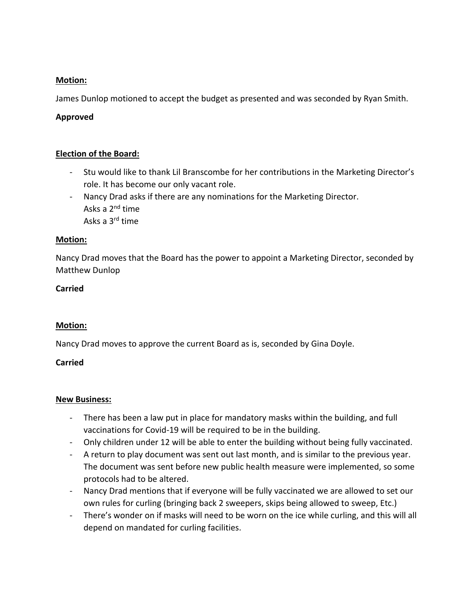## **Motion:**

James Dunlop motioned to accept the budget as presented and was seconded by Ryan Smith.

## **Approved**

### **Election of the Board:**

- Stu would like to thank Lil Branscombe for her contributions in the Marketing Director's role. It has become our only vacant role.
- Nancy Drad asks if there are any nominations for the Marketing Director. Asks a 2nd time Asks a 3rd time

### **Motion:**

Nancy Drad moves that the Board has the power to appoint a Marketing Director, seconded by Matthew Dunlop

### **Carried**

### **Motion:**

Nancy Drad moves to approve the current Board as is, seconded by Gina Doyle.

### **Carried**

### **New Business:**

- There has been a law put in place for mandatory masks within the building, and full vaccinations for Covid-19 will be required to be in the building.
- Only children under 12 will be able to enter the building without being fully vaccinated.
- A return to play document was sent out last month, and is similar to the previous year. The document was sent before new public health measure were implemented, so some protocols had to be altered.
- Nancy Drad mentions that if everyone will be fully vaccinated we are allowed to set our own rules for curling (bringing back 2 sweepers, skips being allowed to sweep, Etc.)
- There's wonder on if masks will need to be worn on the ice while curling, and this will all depend on mandated for curling facilities.